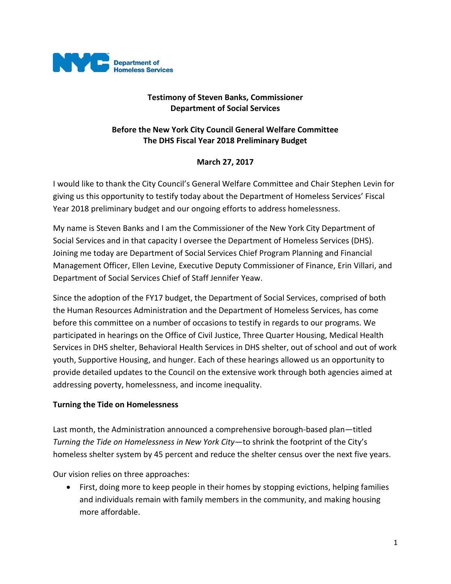

## **Testimony of Steven Banks, Commissioner Department of Social Services**

## **Before the New York City Council General Welfare Committee The DHS Fiscal Year 2018 Preliminary Budget**

## **March 27, 2017**

I would like to thank the City Council's General Welfare Committee and Chair Stephen Levin for giving us this opportunity to testify today about the Department of Homeless Services' Fiscal Year 2018 preliminary budget and our ongoing efforts to address homelessness.

My name is Steven Banks and I am the Commissioner of the New York City Department of Social Services and in that capacity I oversee the Department of Homeless Services (DHS). Joining me today are Department of Social Services Chief Program Planning and Financial Management Officer, Ellen Levine, Executive Deputy Commissioner of Finance, Erin Villari, and Department of Social Services Chief of Staff Jennifer Yeaw.

Since the adoption of the FY17 budget, the Department of Social Services, comprised of both the Human Resources Administration and the Department of Homeless Services, has come before this committee on a number of occasions to testify in regards to our programs. We participated in hearings on the Office of Civil Justice, Three Quarter Housing, Medical Health Services in DHS shelter, Behavioral Health Services in DHS shelter, out of school and out of work youth, Supportive Housing, and hunger. Each of these hearings allowed us an opportunity to provide detailed updates to the Council on the extensive work through both agencies aimed at addressing poverty, homelessness, and income inequality.

#### **Turning the Tide on Homelessness**

Last month, the Administration announced a comprehensive borough-based plan—titled *Turning the Tide on Homelessness in New York City*—to shrink the footprint of the City's homeless shelter system by 45 percent and reduce the shelter census over the next five years.

Our vision relies on three approaches:

• First, doing more to keep people in their homes by stopping evictions, helping families and individuals remain with family members in the community, and making housing more affordable.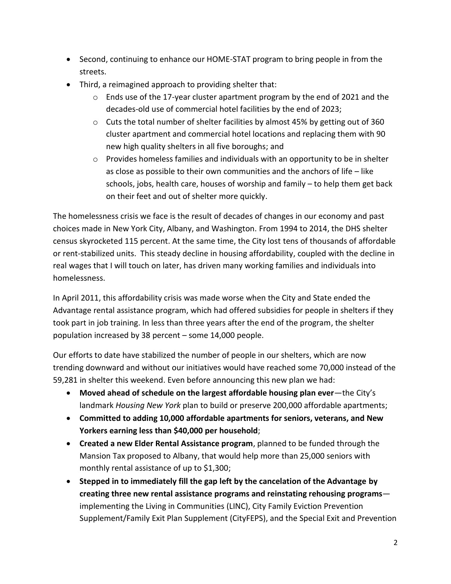- Second, continuing to enhance our HOME-STAT program to bring people in from the streets.
- Third, a reimagined approach to providing shelter that:
	- o Ends use of the 17-year cluster apartment program by the end of 2021 and the decades-old use of commercial hotel facilities by the end of 2023;
	- o Cuts the total number of shelter facilities by almost 45% by getting out of 360 cluster apartment and commercial hotel locations and replacing them with 90 new high quality shelters in all five boroughs; and
	- $\circ$  Provides homeless families and individuals with an opportunity to be in shelter as close as possible to their own communities and the anchors of life – like schools, jobs, health care, houses of worship and family – to help them get back on their feet and out of shelter more quickly.

The homelessness crisis we face is the result of decades of changes in our economy and past choices made in New York City, Albany, and Washington. From 1994 to 2014, the DHS shelter census skyrocketed 115 percent. At the same time, the City lost tens of thousands of affordable or rent-stabilized units. This steady decline in housing affordability, coupled with the decline in real wages that I will touch on later, has driven many working families and individuals into homelessness.

In April 2011, this affordability crisis was made worse when the City and State ended the Advantage rental assistance program, which had offered subsidies for people in shelters if they took part in job training. In less than three years after the end of the program, the shelter population increased by 38 percent – some 14,000 people.

Our efforts to date have stabilized the number of people in our shelters, which are now trending downward and without our initiatives would have reached some 70,000 instead of the 59,281 in shelter this weekend. Even before announcing this new plan we had:

- **Moved ahead of schedule on the largest affordable housing plan ever**—the City's landmark *Housing New York* plan to build or preserve 200,000 affordable apartments;
- **Committed to adding 10,000 affordable apartments for seniors, veterans, and New Yorkers earning less than \$40,000 per household**;
- **Created a new Elder Rental Assistance program**, planned to be funded through the Mansion Tax proposed to Albany, that would help more than 25,000 seniors with monthly rental assistance of up to \$1,300;
- **Stepped in to immediately fill the gap left by the cancelation of the Advantage by creating three new rental assistance programs and reinstating rehousing programs** implementing the Living in Communities (LINC), City Family Eviction Prevention Supplement/Family Exit Plan Supplement (CityFEPS), and the Special Exit and Prevention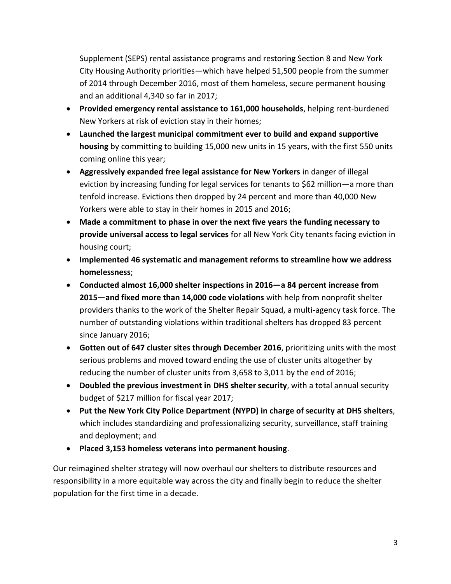Supplement (SEPS) rental assistance programs and restoring Section 8 and New York City Housing Authority priorities—which have helped 51,500 people from the summer of 2014 through December 2016, most of them homeless, secure permanent housing and an additional 4,340 so far in 2017;

- **Provided emergency rental assistance to 161,000 households**, helping rent-burdened New Yorkers at risk of eviction stay in their homes;
- **Launched the largest municipal commitment ever to build and expand supportive housing** by committing to building 15,000 new units in 15 years, with the first 550 units coming online this year;
- **Aggressively expanded free legal assistance for New Yorkers** in danger of illegal eviction by increasing funding for legal services for tenants to \$62 million—a more than tenfold increase. Evictions then dropped by 24 percent and more than 40,000 New Yorkers were able to stay in their homes in 2015 and 2016;
- **Made a commitment to phase in over the next five years the funding necessary to provide universal access to legal services** for all New York City tenants facing eviction in housing court;
- **Implemented 46 systematic and management reforms to streamline how we address homelessness**;
- **Conducted almost 16,000 shelter inspections in 2016—a 84 percent increase from 2015—and fixed more than 14,000 code violations** with help from nonprofit shelter providers thanks to the work of the Shelter Repair Squad, a multi-agency task force. The number of outstanding violations within traditional shelters has dropped 83 percent since January 2016;
- **Gotten out of 647 cluster sites through December 2016**, prioritizing units with the most serious problems and moved toward ending the use of cluster units altogether by reducing the number of cluster units from 3,658 to 3,011 by the end of 2016;
- **Doubled the previous investment in DHS shelter security**, with a total annual security budget of \$217 million for fiscal year 2017;
- **Put the New York City Police Department (NYPD) in charge of security at DHS shelters**, which includes standardizing and professionalizing security, surveillance, staff training and deployment; and
- **Placed 3,153 homeless veterans into permanent housing**.

Our reimagined shelter strategy will now overhaul our shelters to distribute resources and responsibility in a more equitable way across the city and finally begin to reduce the shelter population for the first time in a decade.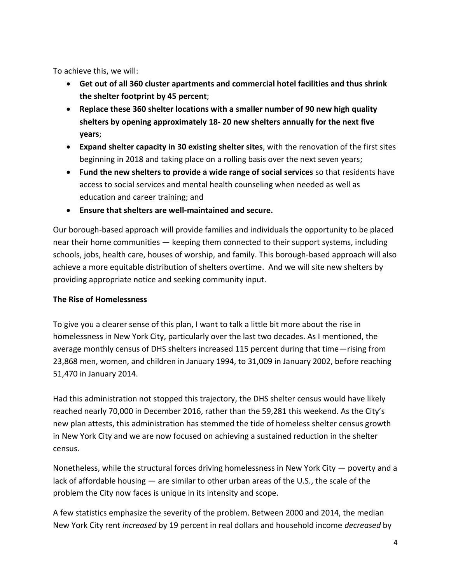To achieve this, we will:

- **Get out of all 360 cluster apartments and commercial hotel facilities and thus shrink the shelter footprint by 45 percent**;
- **Replace these 360 shelter locations with a smaller number of 90 new high quality shelters by opening approximately 18- 20 new shelters annually for the next five years**;
- **Expand shelter capacity in 30 existing shelter sites**, with the renovation of the first sites beginning in 2018 and taking place on a rolling basis over the next seven years;
- **Fund the new shelters to provide a wide range of social services** so that residents have access to social services and mental health counseling when needed as well as education and career training; and
- **Ensure that shelters are well-maintained and secure.**

Our borough-based approach will provide families and individuals the opportunity to be placed near their home communities — keeping them connected to their support systems, including schools, jobs, health care, houses of worship, and family. This borough-based approach will also achieve a more equitable distribution of shelters overtime. And we will site new shelters by providing appropriate notice and seeking community input.

#### **The Rise of Homelessness**

To give you a clearer sense of this plan, I want to talk a little bit more about the rise in homelessness in New York City, particularly over the last two decades. As I mentioned, the average monthly census of DHS shelters increased 115 percent during that time—rising from 23,868 men, women, and children in January 1994, to 31,009 in January 2002, before reaching 51,470 in January 2014.

Had this administration not stopped this trajectory, the DHS shelter census would have likely reached nearly 70,000 in December 2016, rather than the 59,281 this weekend. As the City's new plan attests, this administration has stemmed the tide of homeless shelter census growth in New York City and we are now focused on achieving a sustained reduction in the shelter census.

Nonetheless, while the structural forces driving homelessness in New York City — poverty and a lack of affordable housing — are similar to other urban areas of the U.S., the scale of the problem the City now faces is unique in its intensity and scope.

A few statistics emphasize the severity of the problem. Between 2000 and 2014, the median New York City rent *increased* by 19 percent in real dollars and household income *decreased* by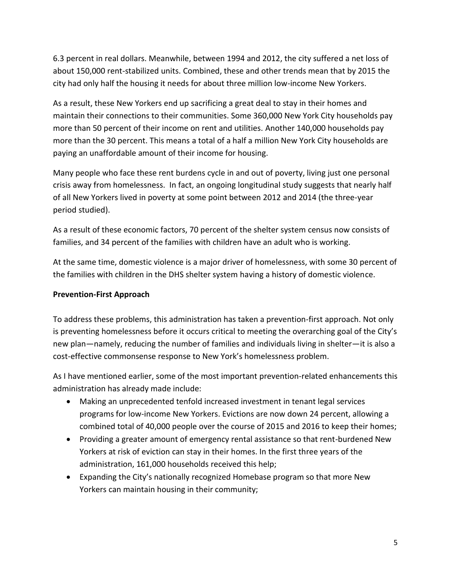6.3 percent in real dollars. Meanwhile, between 1994 and 2012, the city suffered a net loss of about 150,000 rent-stabilized units. Combined, these and other trends mean that by 2015 the city had only half the housing it needs for about three million low-income New Yorkers.

As a result, these New Yorkers end up sacrificing a great deal to stay in their homes and maintain their connections to their communities. Some 360,000 New York City households pay more than 50 percent of their income on rent and utilities. Another 140,000 households pay more than the 30 percent. This means a total of a half a million New York City households are paying an unaffordable amount of their income for housing.

Many people who face these rent burdens cycle in and out of poverty, living just one personal crisis away from homelessness. In fact, an ongoing longitudinal study suggests that nearly half of all New Yorkers lived in poverty at some point between 2012 and 2014 (the three-year period studied).

As a result of these economic factors, 70 percent of the shelter system census now consists of families, and 34 percent of the families with children have an adult who is working.

At the same time, domestic violence is a major driver of homelessness, with some 30 percent of the families with children in the DHS shelter system having a history of domestic violence.

### **Prevention-First Approach**

To address these problems, this administration has taken a prevention-first approach. Not only is preventing homelessness before it occurs critical to meeting the overarching goal of the City's new plan—namely, reducing the number of families and individuals living in shelter—it is also a cost-effective commonsense response to New York's homelessness problem.

As I have mentioned earlier, some of the most important prevention-related enhancements this administration has already made include:

- Making an unprecedented tenfold increased investment in tenant legal services programs for low-income New Yorkers. Evictions are now down 24 percent, allowing a combined total of 40,000 people over the course of 2015 and 2016 to keep their homes;
- Providing a greater amount of emergency rental assistance so that rent-burdened New Yorkers at risk of eviction can stay in their homes. In the first three years of the administration, 161,000 households received this help;
- Expanding the City's nationally recognized Homebase program so that more New Yorkers can maintain housing in their community;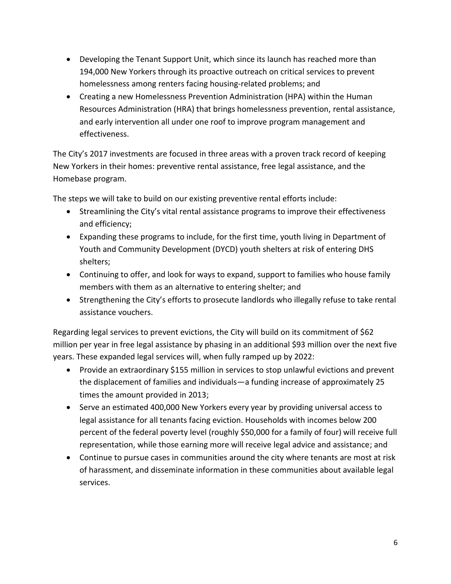- Developing the Tenant Support Unit, which since its launch has reached more than 194,000 New Yorkers through its proactive outreach on critical services to prevent homelessness among renters facing housing-related problems; and
- Creating a new Homelessness Prevention Administration (HPA) within the Human Resources Administration (HRA) that brings homelessness prevention, rental assistance, and early intervention all under one roof to improve program management and effectiveness.

The City's 2017 investments are focused in three areas with a proven track record of keeping New Yorkers in their homes: preventive rental assistance, free legal assistance, and the Homebase program.

The steps we will take to build on our existing preventive rental efforts include:

- Streamlining the City's vital rental assistance programs to improve their effectiveness and efficiency;
- Expanding these programs to include, for the first time, youth living in Department of Youth and Community Development (DYCD) youth shelters at risk of entering DHS shelters;
- Continuing to offer, and look for ways to expand, support to families who house family members with them as an alternative to entering shelter; and
- Strengthening the City's efforts to prosecute landlords who illegally refuse to take rental assistance vouchers.

Regarding legal services to prevent evictions, the City will build on its commitment of \$62 million per year in free legal assistance by phasing in an additional \$93 million over the next five years. These expanded legal services will, when fully ramped up by 2022:

- Provide an extraordinary \$155 million in services to stop unlawful evictions and prevent the displacement of families and individuals—a funding increase of approximately 25 times the amount provided in 2013;
- Serve an estimated 400,000 New Yorkers every year by providing universal access to legal assistance for all tenants facing eviction. Households with incomes below 200 percent of the federal poverty level (roughly \$50,000 for a family of four) will receive full representation, while those earning more will receive legal advice and assistance; and
- Continue to pursue cases in communities around the city where tenants are most at risk of harassment, and disseminate information in these communities about available legal services.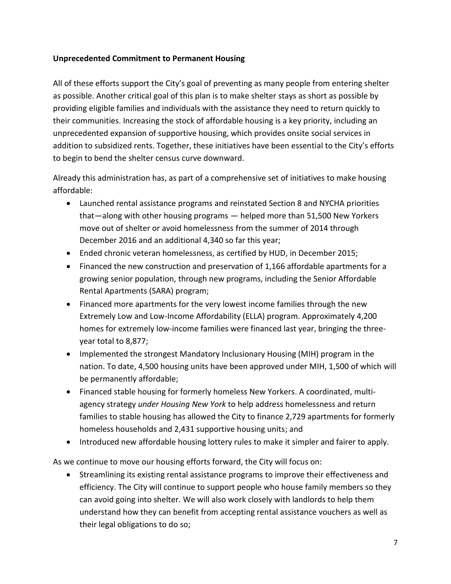### **Unprecedented Commitment to Permanent Housing**

All of these efforts support the City's goal of preventing as many people from entering shelter as possible. Another critical goal of this plan is to make shelter stays as short as possible by providing eligible families and individuals with the assistance they need to return quickly to their communities. Increasing the stock of affordable housing is a key priority, including an unprecedented expansion of supportive housing, which provides onsite social services in addition to subsidized rents. Together, these initiatives have been essential to the City's efforts to begin to bend the shelter census curve downward.

Already this administration has, as part of a comprehensive set of initiatives to make housing affordable:

- Launched rental assistance programs and reinstated Section 8 and NYCHA priorities that—along with other housing programs — helped more than 51,500 New Yorkers move out of shelter or avoid homelessness from the summer of 2014 through December 2016 and an additional 4,340 so far this year;
- Ended chronic veteran homelessness, as certified by HUD, in December 2015;
- Financed the new construction and preservation of 1,166 affordable apartments for a growing senior population, through new programs, including the Senior Affordable Rental Apartments (SARA) program;
- Financed more apartments for the very lowest income families through the new Extremely Low and Low-Income Affordability (ELLA) program. Approximately 4,200 homes for extremely low-income families were financed last year, bringing the threeyear total to 8,877;
- Implemented the strongest Mandatory Inclusionary Housing (MIH) program in the nation. To date, 4,500 housing units have been approved under MIH, 1,500 of which will be permanently affordable;
- Financed stable housing for formerly homeless New Yorkers. A coordinated, multiagency strategy *under Housing New York* to help address homelessness and return families to stable housing has allowed the City to finance 2,729 apartments for formerly homeless households and 2,431 supportive housing units; and
- Introduced new affordable housing lottery rules to make it simpler and fairer to apply.

As we continue to move our housing efforts forward, the City will focus on:

 Streamlining its existing rental assistance programs to improve their effectiveness and efficiency. The City will continue to support people who house family members so they can avoid going into shelter. We will also work closely with landlords to help them understand how they can benefit from accepting rental assistance vouchers as well as their legal obligations to do so;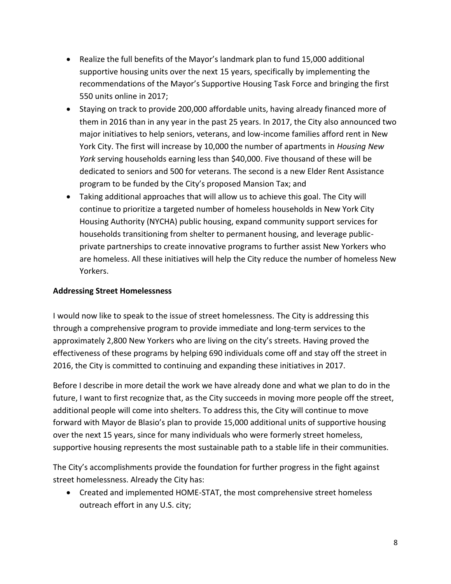- Realize the full benefits of the Mayor's landmark plan to fund 15,000 additional supportive housing units over the next 15 years, specifically by implementing the recommendations of the Mayor's Supportive Housing Task Force and bringing the first 550 units online in 2017;
- Staying on track to provide 200,000 affordable units, having already financed more of them in 2016 than in any year in the past 25 years. In 2017, the City also announced two major initiatives to help seniors, veterans, and low-income families afford rent in New York City. The first will increase by 10,000 the number of apartments in *Housing New York* serving households earning less than \$40,000. Five thousand of these will be dedicated to seniors and 500 for veterans. The second is a new Elder Rent Assistance program to be funded by the City's proposed Mansion Tax; and
- Taking additional approaches that will allow us to achieve this goal. The City will continue to prioritize a targeted number of homeless households in New York City Housing Authority (NYCHA) public housing, expand community support services for households transitioning from shelter to permanent housing, and leverage publicprivate partnerships to create innovative programs to further assist New Yorkers who are homeless. All these initiatives will help the City reduce the number of homeless New Yorkers.

## **Addressing Street Homelessness**

I would now like to speak to the issue of street homelessness. The City is addressing this through a comprehensive program to provide immediate and long-term services to the approximately 2,800 New Yorkers who are living on the city's streets. Having proved the effectiveness of these programs by helping 690 individuals come off and stay off the street in 2016, the City is committed to continuing and expanding these initiatives in 2017.

Before I describe in more detail the work we have already done and what we plan to do in the future, I want to first recognize that, as the City succeeds in moving more people off the street, additional people will come into shelters. To address this, the City will continue to move forward with Mayor de Blasio's plan to provide 15,000 additional units of supportive housing over the next 15 years, since for many individuals who were formerly street homeless, supportive housing represents the most sustainable path to a stable life in their communities.

The City's accomplishments provide the foundation for further progress in the fight against street homelessness. Already the City has:

 Created and implemented HOME-STAT, the most comprehensive street homeless outreach effort in any U.S. city;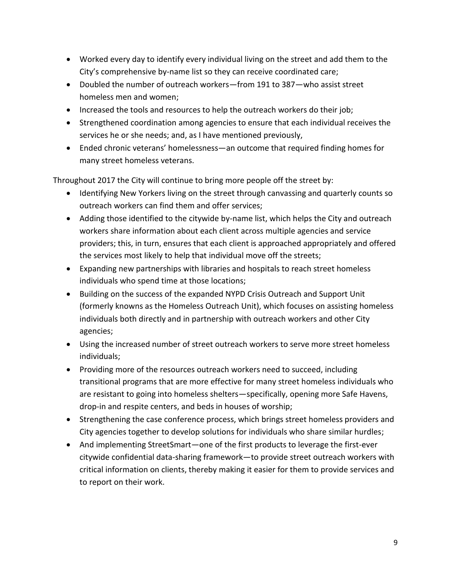- Worked every day to identify every individual living on the street and add them to the City's comprehensive by-name list so they can receive coordinated care;
- Doubled the number of outreach workers—from 191 to 387—who assist street homeless men and women;
- Increased the tools and resources to help the outreach workers do their job;
- Strengthened coordination among agencies to ensure that each individual receives the services he or she needs; and, as I have mentioned previously,
- Ended chronic veterans' homelessness—an outcome that required finding homes for many street homeless veterans.

Throughout 2017 the City will continue to bring more people off the street by:

- Identifying New Yorkers living on the street through canvassing and quarterly counts so outreach workers can find them and offer services;
- Adding those identified to the citywide by-name list, which helps the City and outreach workers share information about each client across multiple agencies and service providers; this, in turn, ensures that each client is approached appropriately and offered the services most likely to help that individual move off the streets;
- Expanding new partnerships with libraries and hospitals to reach street homeless individuals who spend time at those locations;
- Building on the success of the expanded NYPD Crisis Outreach and Support Unit (formerly knowns as the Homeless Outreach Unit), which focuses on assisting homeless individuals both directly and in partnership with outreach workers and other City agencies;
- Using the increased number of street outreach workers to serve more street homeless individuals;
- Providing more of the resources outreach workers need to succeed, including transitional programs that are more effective for many street homeless individuals who are resistant to going into homeless shelters—specifically, opening more Safe Havens, drop-in and respite centers, and beds in houses of worship;
- Strengthening the case conference process, which brings street homeless providers and City agencies together to develop solutions for individuals who share similar hurdles;
- And implementing StreetSmart—one of the first products to leverage the first-ever citywide confidential data-sharing framework—to provide street outreach workers with critical information on clients, thereby making it easier for them to provide services and to report on their work.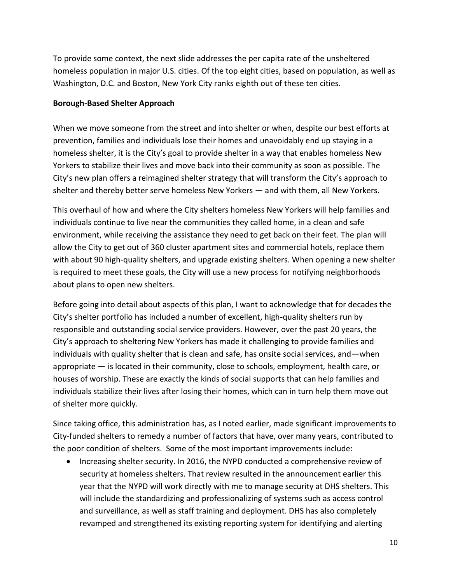To provide some context, the next slide addresses the per capita rate of the unsheltered homeless population in major U.S. cities. Of the top eight cities, based on population, as well as Washington, D.C. and Boston, New York City ranks eighth out of these ten cities.

#### **Borough-Based Shelter Approach**

When we move someone from the street and into shelter or when, despite our best efforts at prevention, families and individuals lose their homes and unavoidably end up staying in a homeless shelter, it is the City's goal to provide shelter in a way that enables homeless New Yorkers to stabilize their lives and move back into their community as soon as possible. The City's new plan offers a reimagined shelter strategy that will transform the City's approach to shelter and thereby better serve homeless New Yorkers — and with them, all New Yorkers.

This overhaul of how and where the City shelters homeless New Yorkers will help families and individuals continue to live near the communities they called home, in a clean and safe environment, while receiving the assistance they need to get back on their feet. The plan will allow the City to get out of 360 cluster apartment sites and commercial hotels, replace them with about 90 high-quality shelters, and upgrade existing shelters. When opening a new shelter is required to meet these goals, the City will use a new process for notifying neighborhoods about plans to open new shelters.

Before going into detail about aspects of this plan, I want to acknowledge that for decades the City's shelter portfolio has included a number of excellent, high-quality shelters run by responsible and outstanding social service providers. However, over the past 20 years, the City's approach to sheltering New Yorkers has made it challenging to provide families and individuals with quality shelter that is clean and safe, has onsite social services, and—when appropriate — is located in their community, close to schools, employment, health care, or houses of worship. These are exactly the kinds of social supports that can help families and individuals stabilize their lives after losing their homes, which can in turn help them move out of shelter more quickly.

Since taking office, this administration has, as I noted earlier, made significant improvements to City-funded shelters to remedy a number of factors that have, over many years, contributed to the poor condition of shelters. Some of the most important improvements include:

• Increasing shelter security. In 2016, the NYPD conducted a comprehensive review of security at homeless shelters. That review resulted in the announcement earlier this year that the NYPD will work directly with me to manage security at DHS shelters. This will include the standardizing and professionalizing of systems such as access control and surveillance, as well as staff training and deployment. DHS has also completely revamped and strengthened its existing reporting system for identifying and alerting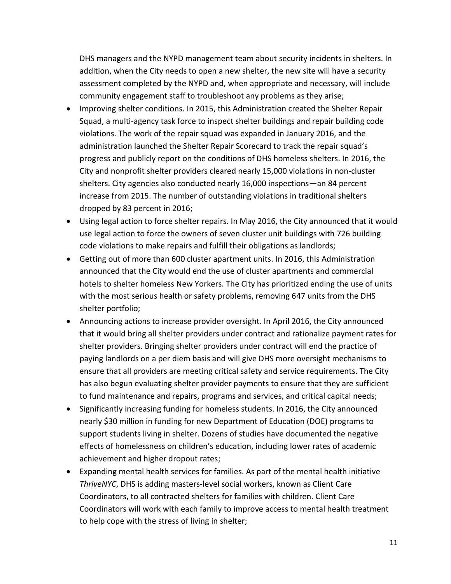DHS managers and the NYPD management team about security incidents in shelters. In addition, when the City needs to open a new shelter, the new site will have a security assessment completed by the NYPD and, when appropriate and necessary, will include community engagement staff to troubleshoot any problems as they arise;

- Improving shelter conditions. In 2015, this Administration created the Shelter Repair Squad, a multi-agency task force to inspect shelter buildings and repair building code violations. The work of the repair squad was expanded in January 2016, and the administration launched the Shelter Repair Scorecard to track the repair squad's progress and publicly report on the conditions of DHS homeless shelters. In 2016, the City and nonprofit shelter providers cleared nearly 15,000 violations in non-cluster shelters. City agencies also conducted nearly 16,000 inspections—an 84 percent increase from 2015. The number of outstanding violations in traditional shelters dropped by 83 percent in 2016;
- Using legal action to force shelter repairs. In May 2016, the City announced that it would use legal action to force the owners of seven cluster unit buildings with 726 building code violations to make repairs and fulfill their obligations as landlords;
- Getting out of more than 600 cluster apartment units. In 2016, this Administration announced that the City would end the use of cluster apartments and commercial hotels to shelter homeless New Yorkers. The City has prioritized ending the use of units with the most serious health or safety problems, removing 647 units from the DHS shelter portfolio;
- Announcing actions to increase provider oversight. In April 2016, the City announced that it would bring all shelter providers under contract and rationalize payment rates for shelter providers. Bringing shelter providers under contract will end the practice of paying landlords on a per diem basis and will give DHS more oversight mechanisms to ensure that all providers are meeting critical safety and service requirements. The City has also begun evaluating shelter provider payments to ensure that they are sufficient to fund maintenance and repairs, programs and services, and critical capital needs;
- Significantly increasing funding for homeless students. In 2016, the City announced nearly \$30 million in funding for new Department of Education (DOE) programs to support students living in shelter. Dozens of studies have documented the negative effects of homelessness on children's education, including lower rates of academic achievement and higher dropout rates;
- Expanding mental health services for families. As part of the mental health initiative *ThriveNYC*, DHS is adding masters-level social workers, known as Client Care Coordinators, to all contracted shelters for families with children. Client Care Coordinators will work with each family to improve access to mental health treatment to help cope with the stress of living in shelter;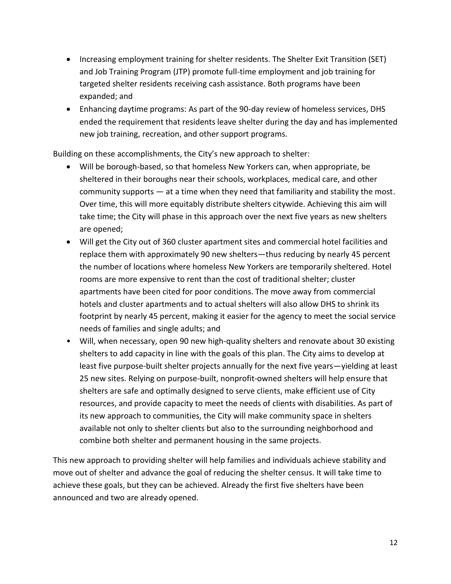- Increasing employment training for shelter residents. The Shelter Exit Transition (SET) and Job Training Program (JTP) promote full-time employment and job training for targeted shelter residents receiving cash assistance. Both programs have been expanded; and
- Enhancing daytime programs: As part of the 90-day review of homeless services, DHS ended the requirement that residents leave shelter during the day and has implemented new job training, recreation, and other support programs.

Building on these accomplishments, the City's new approach to shelter:

- Will be borough-based, so that homeless New Yorkers can, when appropriate, be sheltered in their boroughs near their schools, workplaces, medical care, and other community supports — at a time when they need that familiarity and stability the most. Over time, this will more equitably distribute shelters citywide. Achieving this aim will take time; the City will phase in this approach over the next five years as new shelters are opened;
- Will get the City out of 360 cluster apartment sites and commercial hotel facilities and replace them with approximately 90 new shelters—thus reducing by nearly 45 percent the number of locations where homeless New Yorkers are temporarily sheltered. Hotel rooms are more expensive to rent than the cost of traditional shelter; cluster apartments have been cited for poor conditions. The move away from commercial hotels and cluster apartments and to actual shelters will also allow DHS to shrink its footprint by nearly 45 percent, making it easier for the agency to meet the social service needs of families and single adults; and
- Will, when necessary, open 90 new high-quality shelters and renovate about 30 existing shelters to add capacity in line with the goals of this plan. The City aims to develop at least five purpose-built shelter projects annually for the next five years—yielding at least 25 new sites. Relying on purpose-built, nonprofit-owned shelters will help ensure that shelters are safe and optimally designed to serve clients, make efficient use of City resources, and provide capacity to meet the needs of clients with disabilities. As part of its new approach to communities, the City will make community space in shelters available not only to shelter clients but also to the surrounding neighborhood and combine both shelter and permanent housing in the same projects.

This new approach to providing shelter will help families and individuals achieve stability and move out of shelter and advance the goal of reducing the shelter census. It will take time to achieve these goals, but they can be achieved. Already the first five shelters have been announced and two are already opened.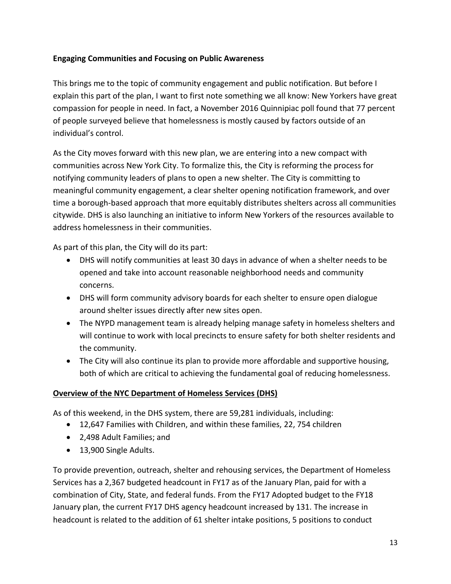## **Engaging Communities and Focusing on Public Awareness**

This brings me to the topic of community engagement and public notification. But before I explain this part of the plan, I want to first note something we all know: New Yorkers have great compassion for people in need. In fact, a November 2016 Quinnipiac poll found that 77 percent of people surveyed believe that homelessness is mostly caused by factors outside of an individual's control.

As the City moves forward with this new plan, we are entering into a new compact with communities across New York City. To formalize this, the City is reforming the process for notifying community leaders of plans to open a new shelter. The City is committing to meaningful community engagement, a clear shelter opening notification framework, and over time a borough-based approach that more equitably distributes shelters across all communities citywide. DHS is also launching an initiative to inform New Yorkers of the resources available to address homelessness in their communities.

As part of this plan, the City will do its part:

- DHS will notify communities at least 30 days in advance of when a shelter needs to be opened and take into account reasonable neighborhood needs and community concerns.
- DHS will form community advisory boards for each shelter to ensure open dialogue around shelter issues directly after new sites open.
- The NYPD management team is already helping manage safety in homeless shelters and will continue to work with local precincts to ensure safety for both shelter residents and the community.
- The City will also continue its plan to provide more affordable and supportive housing, both of which are critical to achieving the fundamental goal of reducing homelessness.

### **Overview of the NYC Department of Homeless Services (DHS)**

As of this weekend, in the DHS system, there are 59,281 individuals, including:

- 12,647 Families with Children, and within these families, 22, 754 children
- 2,498 Adult Families; and
- 13,900 Single Adults.

To provide prevention, outreach, shelter and rehousing services, the Department of Homeless Services has a 2,367 budgeted headcount in FY17 as of the January Plan, paid for with a combination of City, State, and federal funds. From the FY17 Adopted budget to the FY18 January plan, the current FY17 DHS agency headcount increased by 131. The increase in headcount is related to the addition of 61 shelter intake positions, 5 positions to conduct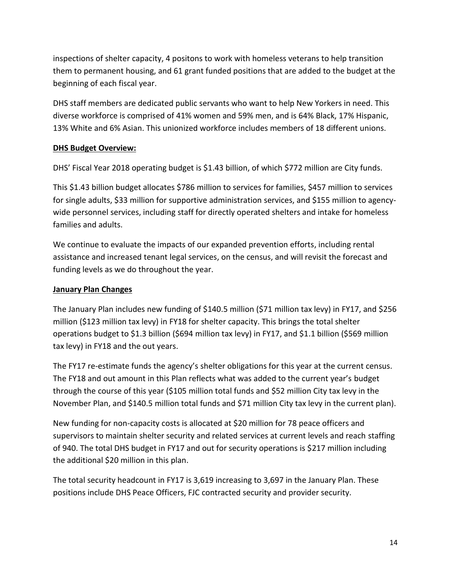inspections of shelter capacity, 4 positons to work with homeless veterans to help transition them to permanent housing, and 61 grant funded positions that are added to the budget at the beginning of each fiscal year.

DHS staff members are dedicated public servants who want to help New Yorkers in need. This diverse workforce is comprised of 41% women and 59% men, and is 64% Black, 17% Hispanic, 13% White and 6% Asian. This unionized workforce includes members of 18 different unions.

## **DHS Budget Overview:**

DHS' Fiscal Year 2018 operating budget is \$1.43 billion, of which \$772 million are City funds.

This \$1.43 billion budget allocates \$786 million to services for families, \$457 million to services for single adults, \$33 million for supportive administration services, and \$155 million to agencywide personnel services, including staff for directly operated shelters and intake for homeless families and adults.

We continue to evaluate the impacts of our expanded prevention efforts, including rental assistance and increased tenant legal services, on the census, and will revisit the forecast and funding levels as we do throughout the year.

## **January Plan Changes**

The January Plan includes new funding of \$140.5 million (\$71 million tax levy) in FY17, and \$256 million (\$123 million tax levy) in FY18 for shelter capacity. This brings the total shelter operations budget to \$1.3 billion (\$694 million tax levy) in FY17, and \$1.1 billion (\$569 million tax levy) in FY18 and the out years.

The FY17 re-estimate funds the agency's shelter obligations for this year at the current census. The FY18 and out amount in this Plan reflects what was added to the current year's budget through the course of this year (\$105 million total funds and \$52 million City tax levy in the November Plan, and \$140.5 million total funds and \$71 million City tax levy in the current plan).

New funding for non-capacity costs is allocated at \$20 million for 78 peace officers and supervisors to maintain shelter security and related services at current levels and reach staffing of 940. The total DHS budget in FY17 and out for security operations is \$217 million including the additional \$20 million in this plan.

The total security headcount in FY17 is 3,619 increasing to 3,697 in the January Plan. These positions include DHS Peace Officers, FJC contracted security and provider security.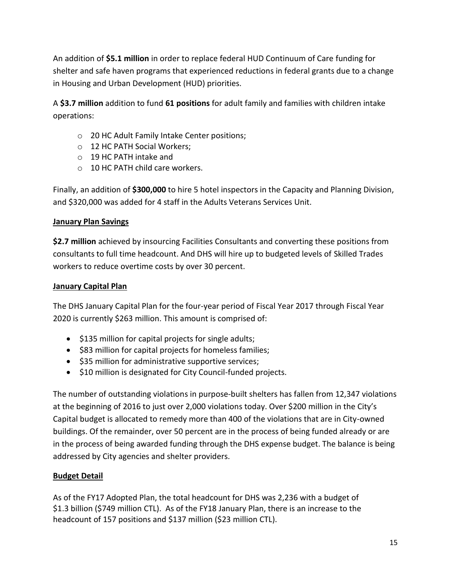An addition of **\$5.1 million** in order to replace federal HUD Continuum of Care funding for shelter and safe haven programs that experienced reductions in federal grants due to a change in Housing and Urban Development (HUD) priorities.

A **\$3.7 million** addition to fund **61 positions** for adult family and families with children intake operations:

- o 20 HC Adult Family Intake Center positions;
- o 12 HC PATH Social Workers;
- o 19 HC PATH intake and
- $\circ$  10 HC PATH child care workers.

Finally, an addition of **\$300,000** to hire 5 hotel inspectors in the Capacity and Planning Division, and \$320,000 was added for 4 staff in the Adults Veterans Services Unit.

## **January Plan Savings**

**\$2.7 million** achieved by insourcing Facilities Consultants and converting these positions from consultants to full time headcount. And DHS will hire up to budgeted levels of Skilled Trades workers to reduce overtime costs by over 30 percent.

## **January Capital Plan**

The DHS January Capital Plan for the four-year period of Fiscal Year 2017 through Fiscal Year 2020 is currently \$263 million. This amount is comprised of:

- $\bullet$  \$135 million for capital projects for single adults;
- \$83 million for capital projects for homeless families;
- \$35 million for administrative supportive services;
- \$10 million is designated for City Council-funded projects.

The number of outstanding violations in purpose-built shelters has fallen from 12,347 violations at the beginning of 2016 to just over 2,000 violations today. Over \$200 million in the City's Capital budget is allocated to remedy more than 400 of the violations that are in City-owned buildings. Of the remainder, over 50 percent are in the process of being funded already or are in the process of being awarded funding through the DHS expense budget. The balance is being addressed by City agencies and shelter providers.

# **Budget Detail**

As of the FY17 Adopted Plan, the total headcount for DHS was 2,236 with a budget of \$1.3 billion (\$749 million CTL). As of the FY18 January Plan, there is an increase to the headcount of 157 positions and \$137 million (\$23 million CTL).